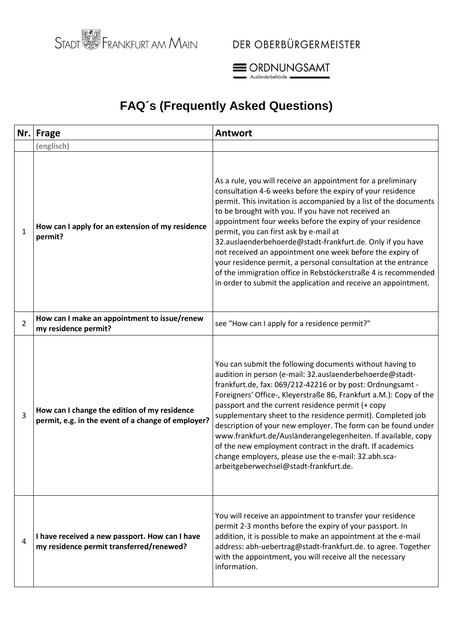



### **FAQ´s (Frequently Asked Questions)**

|                | Nr. Frage                                                                                          | <b>Antwort</b>                                                                                                                                                                                                                                                                                                                                                                                                                                                                                                                                                                                                                                                                                  |
|----------------|----------------------------------------------------------------------------------------------------|-------------------------------------------------------------------------------------------------------------------------------------------------------------------------------------------------------------------------------------------------------------------------------------------------------------------------------------------------------------------------------------------------------------------------------------------------------------------------------------------------------------------------------------------------------------------------------------------------------------------------------------------------------------------------------------------------|
|                | (englisch)                                                                                         |                                                                                                                                                                                                                                                                                                                                                                                                                                                                                                                                                                                                                                                                                                 |
| $\mathbf{1}$   | How can I apply for an extension of my residence<br>permit?                                        | As a rule, you will receive an appointment for a preliminary<br>consultation 4-6 weeks before the expiry of your residence<br>permit. This invitation is accompanied by a list of the documents<br>to be brought with you. If you have not received an<br>appointment four weeks before the expiry of your residence<br>permit, you can first ask by e-mail at<br>32.auslaenderbehoerde@stadt-frankfurt.de. Only if you have<br>not received an appointment one week before the expiry of<br>your residence permit, a personal consultation at the entrance<br>of the immigration office in Rebstöckerstraße 4 is recommended<br>in order to submit the application and receive an appointment. |
| $\overline{2}$ | How can I make an appointment to issue/renew<br>my residence permit?                               | see "How can I apply for a residence permit?"                                                                                                                                                                                                                                                                                                                                                                                                                                                                                                                                                                                                                                                   |
| 3              | How can I change the edition of my residence<br>permit, e.g. in the event of a change of employer? | You can submit the following documents without having to<br>audition in person (e-mail: 32.auslaenderbehoerde@stadt-<br>frankfurt.de, fax: 069/212-42216 or by post: Ordnungsamt -<br>Foreigners' Office-, Kleyerstraße 86, Frankfurt a.M.): Copy of the<br>passport and the current residence permit (+ copy<br>supplementary sheet to the residence permit). Completed job<br>description of your new employer. The form can be found under<br>www.frankfurt.de/Ausländerangelegenheiten. If available, copy<br>of the new employment contract in the draft. If academics<br>change employers, please use the e-mail: 32.abh.sca-<br>arbeitgeberwechsel@stadt-frankfurt.de.                   |
| 4              | I have received a new passport. How can I have<br>my residence permit transferred/renewed?         | You will receive an appointment to transfer your residence<br>permit 2-3 months before the expiry of your passport. In<br>addition, it is possible to make an appointment at the e-mail<br>address: abh-uebertrag@stadt-frankfurt.de. to agree. Together<br>with the appointment, you will receive all the necessary<br>information.                                                                                                                                                                                                                                                                                                                                                            |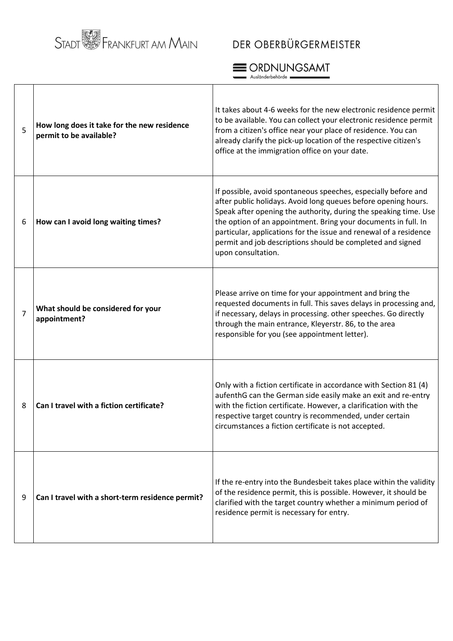# STADT **WEBSTER**<br>STADT **WEBSTER AND AND MAIN**

### DER OBERBÜRGERMEISTER



|   |                                                                        | Ausländerbehörde -                                                                                                                                                                                                                                                                                                                                                                                                              |
|---|------------------------------------------------------------------------|---------------------------------------------------------------------------------------------------------------------------------------------------------------------------------------------------------------------------------------------------------------------------------------------------------------------------------------------------------------------------------------------------------------------------------|
| 5 | How long does it take for the new residence<br>permit to be available? | It takes about 4-6 weeks for the new electronic residence permit<br>to be available. You can collect your electronic residence permit<br>from a citizen's office near your place of residence. You can<br>already clarify the pick-up location of the respective citizen's<br>office at the immigration office on your date.                                                                                                    |
| 6 | How can I avoid long waiting times?                                    | If possible, avoid spontaneous speeches, especially before and<br>after public holidays. Avoid long queues before opening hours.<br>Speak after opening the authority, during the speaking time. Use<br>the option of an appointment. Bring your documents in full. In<br>particular, applications for the issue and renewal of a residence<br>permit and job descriptions should be completed and signed<br>upon consultation. |
| 7 | What should be considered for your<br>appointment?                     | Please arrive on time for your appointment and bring the<br>requested documents in full. This saves delays in processing and,<br>if necessary, delays in processing. other speeches. Go directly<br>through the main entrance, Kleyerstr. 86, to the area<br>responsible for you (see appointment letter).                                                                                                                      |
| 8 | Can I travel with a fiction certificate?                               | Only with a fiction certificate in accordance with Section 81 (4)<br>aufenthG can the German side easily make an exit and re-entry<br>with the fiction certificate. However, a clarification with the<br>respective target country is recommended, under certain<br>circumstances a fiction certificate is not accepted.                                                                                                        |
| 9 | Can I travel with a short-term residence permit?                       | If the re-entry into the Bundesbeit takes place within the validity<br>of the residence permit, this is possible. However, it should be<br>clarified with the target country whether a minimum period of<br>residence permit is necessary for entry.                                                                                                                                                                            |